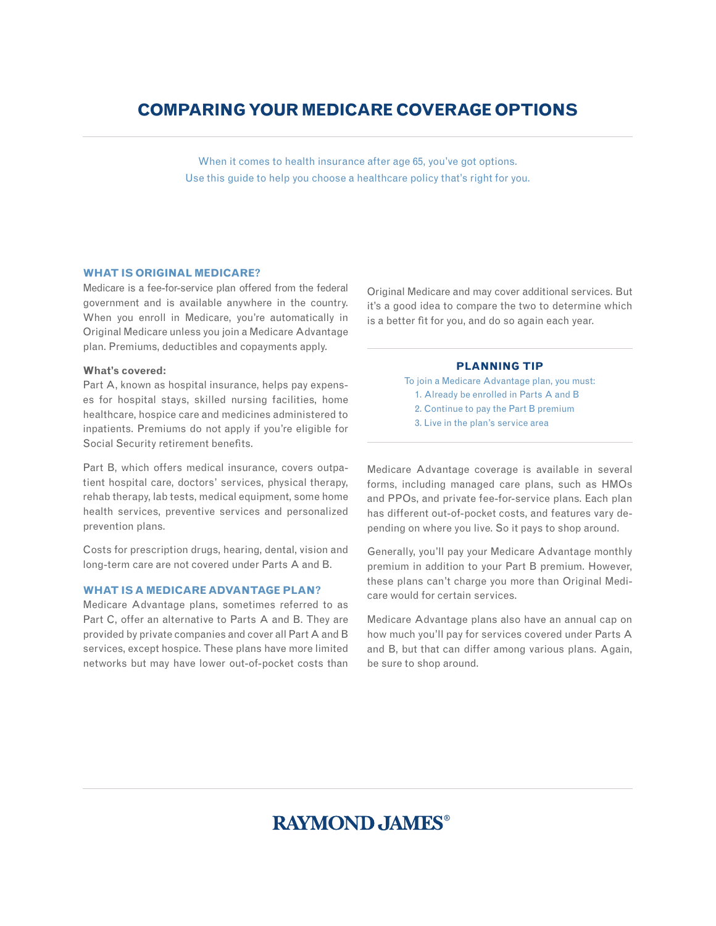# **Comparing your Medicare coverage options**

When it comes to health insurance after age 65, you've got options. Use this guide to help you choose a healthcare policy that's right for you.

# **What is Original Medicare?**

Medicare is a fee-for-service plan offered from the federal government and is available anywhere in the country. When you enroll in Medicare, you're automatically in Original Medicare unless you join a Medicare Advantage plan. Premiums, deductibles and copayments apply.

### **What's covered:**

Part A, known as hospital insurance, helps pay expenses for hospital stays, skilled nursing facilities, home healthcare, hospice care and medicines administered to inpatients. Premiums do not apply if you're eligible for Social Security retirement benefits.

Part B, which offers medical insurance, covers outpatient hospital care, doctors' services, physical therapy, rehab therapy, lab tests, medical equipment, some home health services, preventive services and personalized prevention plans.

Costs for prescription drugs, hearing, dental, vision and long-term care are not covered under Parts A and B.

## **What is a Medicare Advantage plan?**

Medicare Advantage plans, sometimes referred to as Part C, offer an alternative to Parts A and B. They are provided by private companies and cover all Part A and B services, except hospice. These plans have more limited networks but may have lower out-of-pocket costs than

Original Medicare and may cover additional services. But it's a good idea to compare the two to determine which is a better fit for you, and do so again each year.

# **Planning tip**

- To join a Medicare Advantage plan, you must: 1. Already be enrolled in Parts A and B
	- 2. Continue to pay the Part B premium
	- 3. Live in the plan's service area

Medicare Advantage coverage is available in several forms, including managed care plans, such as HMOs and PPOs, and private fee-for-service plans. Each plan has different out-of-pocket costs, and features vary depending on where you live. So it pays to shop around.

Generally, you'll pay your Medicare Advantage monthly premium in addition to your Part B premium. However, these plans can't charge you more than Original Medicare would for certain services.

Medicare Advantage plans also have an annual cap on how much you'll pay for services covered under Parts A and B, but that can differ among various plans. Again, be sure to shop around.

# **RAYMOND, JAMES®**